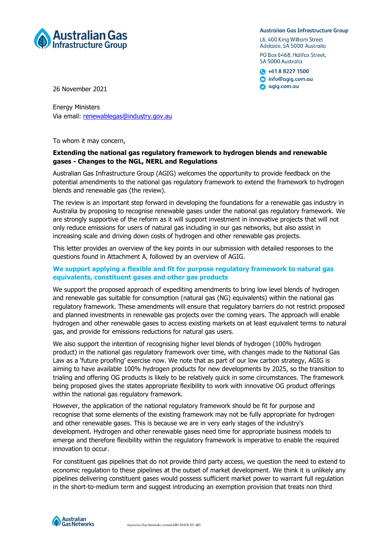

#### **Australian Gas Infrastructure Group**

L6, 400 King William Street Adelaide, SA 5000 Australia PO Box 6468, Halifax Street. SA 5000 Australia

 $\bigcirc$  +61 8 8227 1500 nfo@agig.com.au agig.com.au

26 November 2021

Energy Ministers Via email: [renewableg](mailto:renewable)as@industry.gov.au

To whom it may concern,

### **Extending the national gas regulatory framework to hydrogen blends and renewable gases - Changes to the NGL, NERL and Regulations**

Australian Gas Infrastructure Group (AGIG) welcomes the opportunity to provide feedback on the potential amendments to the national gas regulatory framework to extend the framework to hydrogen blends and renewable gas (the review).

The review is an important step forward in developing the foundations for a renewable gas industry in Australia by proposing to recognise renewable gases under the national gas regulatory framework. We are strongly supportive of the reform as it will support investment in innovative projects that will not only reduce emissions for users of natural gas including in our gas networks, but also assist in increasing scale and driving down costs of hydrogen and other renewable gas projects.

This letter provides an overview of the key points in our submission with detailed responses to the questions found in Attachment A, followed by an overview of AGIG.

#### **We support applying a flexible and fit for purpose regulatory framework to natural gas equivalents, constituent gases and other gas products**

We support the proposed approach of expediting amendments to bring low level blends of hydrogen and renewable gas suitable for consumption (natural gas (NG) equivalents) within the national gas regulatory framework. These amendments will ensure that regulatory barriers do not restrict proposed and planned investments in renewable gas projects over the coming years. The approach will enable hydrogen and other renewable gases to access existing markets on at least equivalent terms to natural gas, and provide for emissions reductions for natural gas users.

We also support the intention of recognising higher level blends of hydrogen (100% hydrogen product) in the national gas regulatory framework over time, with changes made to the National Gas Law as a 'future proofing' exercise now. We note that as part of our low carbon strategy, AGIG is aiming to have available 100% hydrogen products for new developments by 2025, so the transition to trialing and offering OG products is likely to be relatively quick in some circumstances. The framework being proposed gives the states appropriate flexibility to work with innovative OG product offerings within the national gas regulatory framework.

However, the application of the national regulatory framework should be fit for purpose and recognise that some elements of the existing framework may not be fully appropriate for hydrogen and other renewable gases. This is because we are in very early stages of the industry's development. Hydrogen and other renewable gases need time for appropriate business models to emerge and therefore flexibility within the regulatory framework is imperative to enable the required innovation to occur.

For constituent gas pipelines that do not provide third party access, we question the need to extend to economic regulation to these pipelines at the outset of market development. We think it is unlikely any pipelines delivering constituent gases would possess sufficient market power to warrant full regulation in the short-to-medium term and suggest introducing an exemption provision that treats non third

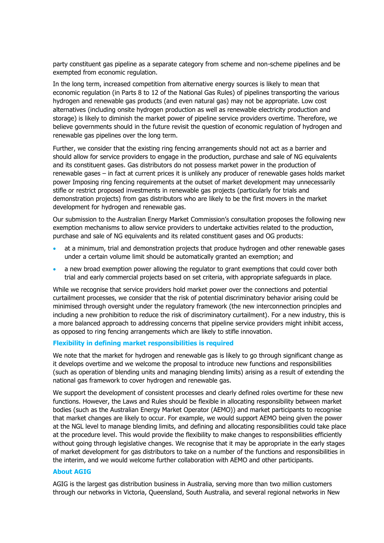party constituent gas pipeline as a separate category from scheme and non-scheme pipelines and be exempted from economic regulation.

In the long term, increased competition from alternative energy sources is likely to mean that economic regulation (in Parts 8 to 12 of the National Gas Rules) of pipelines transporting the various hydrogen and renewable gas products (and even natural gas) may not be appropriate. Low cost alternatives (including onsite hydrogen production as well as renewable electricity production and storage) is likely to diminish the market power of pipeline service providers overtime. Therefore, we believe governments should in the future revisit the question of economic regulation of hydrogen and renewable gas pipelines over the long term.

Further, we consider that the existing ring fencing arrangements should not act as a barrier and should allow for service providers to engage in the production, purchase and sale of NG equivalents and its constituent gases. Gas distributors do not possess market power in the production of renewable gases – in fact at current prices it is unlikely any producer of renewable gases holds market power Imposing ring fencing requirements at the outset of market development may unnecessarily stifle or restrict proposed investments in renewable gas projects (particularly for trials and demonstration projects) from gas distributors who are likely to be the first movers in the market development for hydrogen and renewable gas.

Our submission to the Australian Energy Market Commission's consultation proposes the following new exemption mechanisms to allow service providers to undertake activities related to the production, purchase and sale of NG equivalents and its related constituent gases and OG products:

- at a minimum, trial and demonstration projects that produce hydrogen and other renewable gases under a certain volume limit should be automatically granted an exemption; and
- a new broad exemption power allowing the regulator to grant exemptions that could cover both trial and early commercial projects based on set criteria, with appropriate safeguards in place.

While we recognise that service providers hold market power over the connections and potential curtailment processes, we consider that the risk of potential discriminatory behavior arising could be minimised through oversight under the regulatory framework (the new interconnection principles and including a new prohibition to reduce the risk of discriminatory curtailment). For a new industry, this is a more balanced approach to addressing concerns that pipeline service providers might inhibit access, as opposed to ring fencing arrangements which are likely to stifle innovation.

#### **Flexibility in defining market responsibilities is required**

We note that the market for hydrogen and renewable gas is likely to go through significant change as it develops overtime and we welcome the proposal to introduce new functions and responsibilities (such as operation of blending units and managing blending limits) arising as a result of extending the national gas framework to cover hydrogen and renewable gas.

We support the development of consistent processes and clearly defined roles overtime for these new functions. However, the Laws and Rules should be flexible in allocating responsibility between market bodies (such as the Australian Energy Market Operator (AEMO)) and market participants to recognise that market changes are likely to occur. For example, we would support AEMO being given the power at the NGL level to manage blending limits, and defining and allocating responsibilities could take place at the procedure level. This would provide the flexibility to make changes to responsibilities efficiently without going through legislative changes. We recognise that it may be appropriate in the early stages of market development for gas distributors to take on a number of the functions and responsibilities in the interim, and we would welcome further collaboration with AEMO and other participants.

#### **About AGIG**

AGIG is the largest gas distribution business in Australia, serving more than two million customers through our networks in Victoria, Queensland, South Australia, and several regional networks in New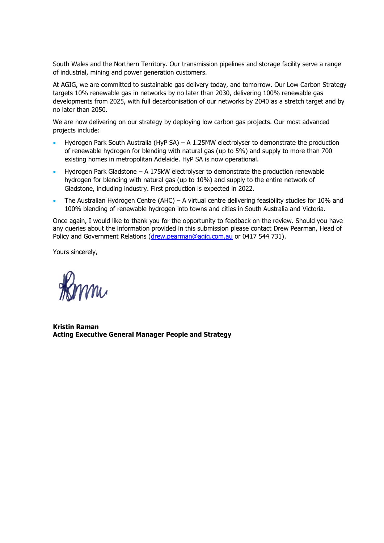South Wales and the Northern Territory. Our transmission pipelines and storage facility serve a range of industrial, mining and power generation customers.

At AGIG, we are committed to sustainable gas delivery today, and tomorrow. Our Low Carbon Strategy targets 10% renewable gas in networks by no later than 2030, delivering 100% renewable gas developments from 2025, with full decarbonisation of our networks by 2040 as a stretch target and by no later than 2050.

We are now delivering on our strategy by deploying low carbon gas projects. Our most advanced projects include:

- [Hydrogen Park South Australia](https://www.agig.com.au/hydrogen-park-south-australia) (HyP SA) A 1.25MW electrolyser to demonstrate the production of renewable hydrogen for blending with natural gas (up to 5%) and supply to more than 700 existing homes in metropolitan Adelaide. HyP SA is now operational.
- [Hydrogen Park Gladstone](https://www.agig.com.au/hydrogen-park-gladstone) A 175kW electrolyser to demonstrate the production renewable hydrogen for blending with natural gas (up to 10%) and supply to the entire network of Gladstone, including industry. First production is expected in 2022.
- [The Australian Hydrogen Centre](https://www.agig.com.au/australian-hydrogen-centre) (AHC) A virtual centre delivering feasibility studies for 10% and 100% blending of renewable hydrogen into towns and cities in South Australia and Victoria.

Once again, I would like to thank you for the opportunity to feedback on the review. Should you have any queries about the information provided in this submission please contact Drew Pearman, Head of Policy and Government Relations [\(drew.pearman@agig.com.au](mailto:drew.pearman@agig.com.au) or 0417 544 731).

Yours sincerely,

mi

**Kristin Raman Acting Executive General Manager People and Strategy**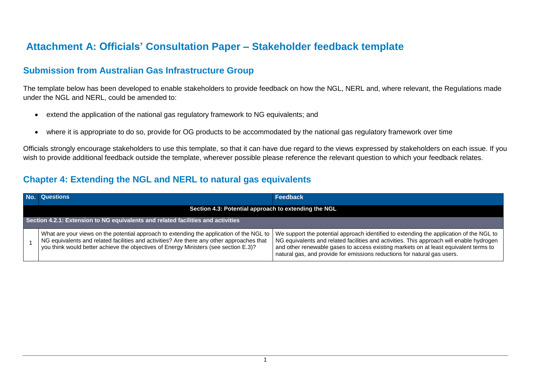## **Attachment A: Officials' Consultation Paper – Stakeholder feedback template**

## **Submission from Australian Gas Infrastructure Group**

The template below has been developed to enable stakeholders to provide feedback on how the NGL, NERL and, where relevant, the Regulations made under the NGL and NERL, could be amended to:

- extend the application of the national gas regulatory framework to NG equivalents; and
- where it is appropriate to do so, provide for OG products to be accommodated by the national gas regulatory framework over time

Officials strongly encourage stakeholders to use this template, so that it can have due regard to the views expressed by stakeholders on each issue. If you wish to provide additional feedback outside the template, wherever possible please reference the relevant question to which your feedback relates.

## **Chapter 4: Extending the NGL and NERL to natural gas equivalents**

|                                                                                  | No. Questions                                                                                                                                                                                                                                                                 | Feedback                                                                                                                                                                                                                                                                                                                                                |  |
|----------------------------------------------------------------------------------|-------------------------------------------------------------------------------------------------------------------------------------------------------------------------------------------------------------------------------------------------------------------------------|---------------------------------------------------------------------------------------------------------------------------------------------------------------------------------------------------------------------------------------------------------------------------------------------------------------------------------------------------------|--|
|                                                                                  | Section 4.3: Potential approach to extending the NGL                                                                                                                                                                                                                          |                                                                                                                                                                                                                                                                                                                                                         |  |
| Section 4.2.1: Extension to NG equivalents and related facilities and activities |                                                                                                                                                                                                                                                                               |                                                                                                                                                                                                                                                                                                                                                         |  |
|                                                                                  | What are your views on the potential approach to extending the application of the NGL to<br>NG equivalents and related facilities and activities? Are there any other approaches that<br>you think would better achieve the objectives of Energy Ministers (see section E.3)? | We support the potential approach identified to extending the application of the NGL to<br>NG equivalents and related facilities and activities. This approach will enable hydrogen<br>and other renewable gases to access existing markets on at least equivalent terms to<br>natural gas, and provide for emissions reductions for natural gas users. |  |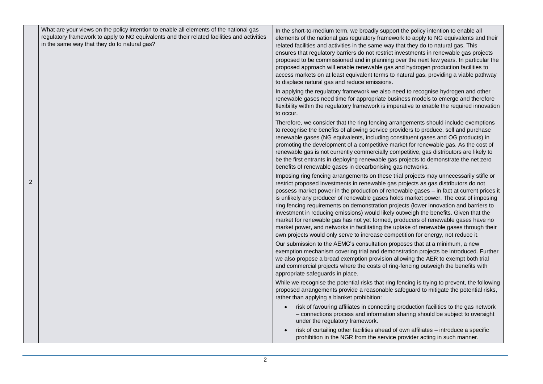| What are your views on the policy intention to enable all elements of the national gas<br>regulatory framework to apply to NG equivalents and their related facilities and activities<br>in the same way that they do to natural gas? | In the short-to-medium term, we broadly support the policy intention to enable all<br>elements of the national gas regulatory framework to apply to NG equivalents and their<br>related facilities and activities in the same way that they do to natural gas. This<br>ensures that regulatory barriers do not restrict investments in renewable gas projects<br>proposed to be commissioned and in planning over the next few years. In particular the<br>proposed approach will enable renewable gas and hydrogen production facilities to<br>access markets on at least equivalent terms to natural gas, providing a viable pathway<br>to displace natural gas and reduce emissions.                                                                                                                              |
|---------------------------------------------------------------------------------------------------------------------------------------------------------------------------------------------------------------------------------------|----------------------------------------------------------------------------------------------------------------------------------------------------------------------------------------------------------------------------------------------------------------------------------------------------------------------------------------------------------------------------------------------------------------------------------------------------------------------------------------------------------------------------------------------------------------------------------------------------------------------------------------------------------------------------------------------------------------------------------------------------------------------------------------------------------------------|
|                                                                                                                                                                                                                                       | In applying the regulatory framework we also need to recognise hydrogen and other<br>renewable gases need time for appropriate business models to emerge and therefore<br>flexibility within the regulatory framework is imperative to enable the required innovation<br>to occur.                                                                                                                                                                                                                                                                                                                                                                                                                                                                                                                                   |
|                                                                                                                                                                                                                                       | Therefore, we consider that the ring fencing arrangements should include exemptions<br>to recognise the benefits of allowing service providers to produce, sell and purchase<br>renewable gases (NG equivalents, including constituent gases and OG products) in<br>promoting the development of a competitive market for renewable gas. As the cost of<br>renewable gas is not currently commercially competitive, gas distributors are likely to<br>be the first entrants in deploying renewable gas projects to demonstrate the net zero<br>benefits of renewable gases in decarbonising gas networks.                                                                                                                                                                                                            |
|                                                                                                                                                                                                                                       | Imposing ring fencing arrangements on these trial projects may unnecessarily stifle or<br>restrict proposed investments in renewable gas projects as gas distributors do not<br>possess market power in the production of renewable gases - in fact at current prices it<br>is unlikely any producer of renewable gases holds market power. The cost of imposing<br>ring fencing requirements on demonstration projects (lower innovation and barriers to<br>investment in reducing emissions) would likely outweigh the benefits. Given that the<br>market for renewable gas has not yet formed, producers of renewable gases have no<br>market power, and networks in facilitating the uptake of renewable gases through their<br>own projects would only serve to increase competition for energy, not reduce it. |
|                                                                                                                                                                                                                                       | Our submission to the AEMC's consultation proposes that at a minimum, a new<br>exemption mechanism covering trial and demonstration projects be introduced. Further<br>we also propose a broad exemption provision allowing the AER to exempt both trial<br>and commercial projects where the costs of ring-fencing outweigh the benefits with<br>appropriate safeguards in place.                                                                                                                                                                                                                                                                                                                                                                                                                                   |
|                                                                                                                                                                                                                                       | While we recognise the potential risks that ring fencing is trying to prevent, the following<br>proposed arrangements provide a reasonable safeguard to mitigate the potential risks,<br>rather than applying a blanket prohibition:                                                                                                                                                                                                                                                                                                                                                                                                                                                                                                                                                                                 |
|                                                                                                                                                                                                                                       | risk of favouring affiliates in connecting production facilities to the gas network<br>- connections process and information sharing should be subject to oversight<br>under the regulatory framework.                                                                                                                                                                                                                                                                                                                                                                                                                                                                                                                                                                                                               |
|                                                                                                                                                                                                                                       | risk of curtailing other facilities ahead of own affiliates - introduce a specific<br>prohibition in the NGR from the service provider acting in such manner.                                                                                                                                                                                                                                                                                                                                                                                                                                                                                                                                                                                                                                                        |

2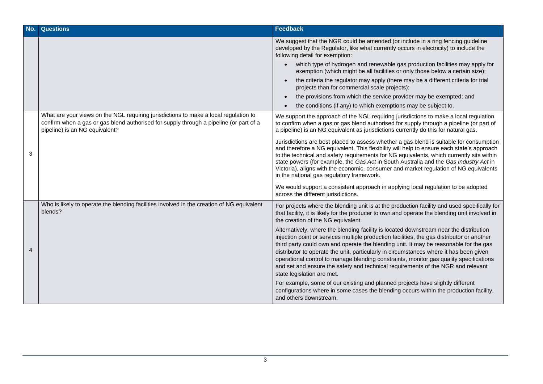| No. | <b>Questions</b>                                                                                                                                                                                                 | <b>Feedback</b>                                                                                                                                                                                                                                                                                                                                                                                                                                                                                                                                                                     |
|-----|------------------------------------------------------------------------------------------------------------------------------------------------------------------------------------------------------------------|-------------------------------------------------------------------------------------------------------------------------------------------------------------------------------------------------------------------------------------------------------------------------------------------------------------------------------------------------------------------------------------------------------------------------------------------------------------------------------------------------------------------------------------------------------------------------------------|
|     |                                                                                                                                                                                                                  | We suggest that the NGR could be amended (or include in a ring fencing guideline<br>developed by the Regulator, like what currently occurs in electricity) to include the<br>following detail for exemption:                                                                                                                                                                                                                                                                                                                                                                        |
|     |                                                                                                                                                                                                                  | which type of hydrogen and renewable gas production facilities may apply for<br>exemption (which might be all facilities or only those below a certain size);                                                                                                                                                                                                                                                                                                                                                                                                                       |
|     |                                                                                                                                                                                                                  | the criteria the regulator may apply (there may be a different criteria for trial<br>projects than for commercial scale projects);                                                                                                                                                                                                                                                                                                                                                                                                                                                  |
|     |                                                                                                                                                                                                                  | the provisions from which the service provider may be exempted; and                                                                                                                                                                                                                                                                                                                                                                                                                                                                                                                 |
|     |                                                                                                                                                                                                                  | the conditions (if any) to which exemptions may be subject to.                                                                                                                                                                                                                                                                                                                                                                                                                                                                                                                      |
| 3   | What are your views on the NGL requiring jurisdictions to make a local regulation to<br>confirm when a gas or gas blend authorised for supply through a pipeline (or part of a<br>pipeline) is an NG equivalent? | We support the approach of the NGL requiring jurisdictions to make a local regulation<br>to confirm when a gas or gas blend authorised for supply through a pipeline (or part of<br>a pipeline) is an NG equivalent as jurisdictions currently do this for natural gas.                                                                                                                                                                                                                                                                                                             |
|     |                                                                                                                                                                                                                  | Jurisdictions are best placed to assess whether a gas blend is suitable for consumption<br>and therefore a NG equivalent. This flexibility will help to ensure each state's approach<br>to the technical and safety requirements for NG equivalents, which currently sits within<br>state powers (for example, the Gas Act in South Australia and the Gas Industry Act in<br>Victoria), aligns with the economic, consumer and market regulation of NG equivalents<br>in the national gas regulatory framework.                                                                     |
|     |                                                                                                                                                                                                                  | We would support a consistent approach in applying local regulation to be adopted<br>across the different jurisdictions.                                                                                                                                                                                                                                                                                                                                                                                                                                                            |
|     | Who is likely to operate the blending facilities involved in the creation of NG equivalent<br>blends?                                                                                                            | For projects where the blending unit is at the production facility and used specifically for<br>that facility, it is likely for the producer to own and operate the blending unit involved in<br>the creation of the NG equivalent.                                                                                                                                                                                                                                                                                                                                                 |
| 4   |                                                                                                                                                                                                                  | Alternatively, where the blending facility is located downstream near the distribution<br>injection point or services multiple production facilities, the gas distributor or another<br>third party could own and operate the blending unit. It may be reasonable for the gas<br>distributor to operate the unit, particularly in circumstances where it has been given<br>operational control to manage blending constraints, monitor gas quality specifications<br>and set and ensure the safety and technical requirements of the NGR and relevant<br>state legislation are met. |
|     |                                                                                                                                                                                                                  | For example, some of our existing and planned projects have slightly different<br>configurations where in some cases the blending occurs within the production facility,<br>and others downstream.                                                                                                                                                                                                                                                                                                                                                                                  |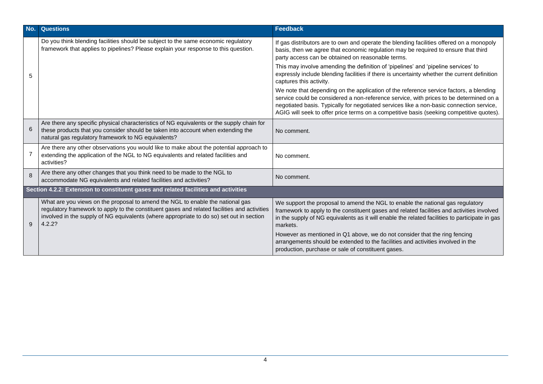| No. | <b>Questions</b>                                                                                                                                                                                                                                                                     | <b>Feedback</b>                                                                                                                                                                                                                                                                                                                                                          |  |
|-----|--------------------------------------------------------------------------------------------------------------------------------------------------------------------------------------------------------------------------------------------------------------------------------------|--------------------------------------------------------------------------------------------------------------------------------------------------------------------------------------------------------------------------------------------------------------------------------------------------------------------------------------------------------------------------|--|
|     | Do you think blending facilities should be subject to the same economic regulatory<br>framework that applies to pipelines? Please explain your response to this question.                                                                                                            | If gas distributors are to own and operate the blending facilities offered on a monopoly<br>basis, then we agree that economic regulation may be required to ensure that third<br>party access can be obtained on reasonable terms.                                                                                                                                      |  |
| 5   |                                                                                                                                                                                                                                                                                      | This may involve amending the definition of 'pipelines' and 'pipeline services' to<br>expressly include blending facilities if there is uncertainty whether the current definition<br>captures this activity.                                                                                                                                                            |  |
|     |                                                                                                                                                                                                                                                                                      | We note that depending on the application of the reference service factors, a blending<br>service could be considered a non-reference service, with prices to be determined on a<br>negotiated basis. Typically for negotiated services like a non-basic connection service,<br>AGIG will seek to offer price terms on a competitive basis (seeking competitive quotes). |  |
| 6   | Are there any specific physical characteristics of NG equivalents or the supply chain for<br>these products that you consider should be taken into account when extending the<br>natural gas regulatory framework to NG equivalents?                                                 | No comment.                                                                                                                                                                                                                                                                                                                                                              |  |
|     | Are there any other observations you would like to make about the potential approach to<br>extending the application of the NGL to NG equivalents and related facilities and<br>activities?                                                                                          | No comment.                                                                                                                                                                                                                                                                                                                                                              |  |
| 8   | Are there any other changes that you think need to be made to the NGL to<br>accommodate NG equivalents and related facilities and activities?                                                                                                                                        | No comment.                                                                                                                                                                                                                                                                                                                                                              |  |
|     | Section 4.2.2: Extension to constituent gases and related facilities and activities                                                                                                                                                                                                  |                                                                                                                                                                                                                                                                                                                                                                          |  |
| 9   | What are you views on the proposal to amend the NGL to enable the national gas<br>regulatory framework to apply to the constituent gases and related facilities and activities<br>involved in the supply of NG equivalents (where appropriate to do so) set out in section<br>4.2.2? | We support the proposal to amend the NGL to enable the national gas regulatory<br>framework to apply to the constituent gases and related facilities and activities involved<br>in the supply of NG equivalents as it will enable the related facilities to participate in gas<br>markets.                                                                               |  |
|     |                                                                                                                                                                                                                                                                                      | However as mentioned in Q1 above, we do not consider that the ring fencing<br>arrangements should be extended to the facilities and activities involved in the<br>production, purchase or sale of constituent gases.                                                                                                                                                     |  |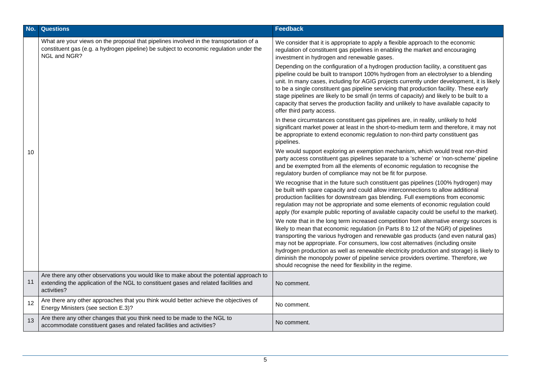| No. | <b>Questions</b>                                                                                                                                                                                 | Feedback                                                                                                                                                                                                                                                                                                                                                                                                                                                                                                                                                                                            |
|-----|--------------------------------------------------------------------------------------------------------------------------------------------------------------------------------------------------|-----------------------------------------------------------------------------------------------------------------------------------------------------------------------------------------------------------------------------------------------------------------------------------------------------------------------------------------------------------------------------------------------------------------------------------------------------------------------------------------------------------------------------------------------------------------------------------------------------|
| 10  | What are your views on the proposal that pipelines involved in the transportation of a<br>constituent gas (e.g. a hydrogen pipeline) be subject to economic regulation under the<br>NGL and NGR? | We consider that it is appropriate to apply a flexible approach to the economic<br>regulation of constituent gas pipelines in enabling the market and encouraging<br>investment in hydrogen and renewable gases.                                                                                                                                                                                                                                                                                                                                                                                    |
|     |                                                                                                                                                                                                  | Depending on the configuration of a hydrogen production facility, a constituent gas<br>pipeline could be built to transport 100% hydrogen from an electrolyser to a blending<br>unit. In many cases, including for AGIG projects currently under development, it is likely<br>to be a single constituent gas pipeline servicing that production facility. These early<br>stage pipelines are likely to be small (in terms of capacity) and likely to be built to a<br>capacity that serves the production facility and unlikely to have available capacity to<br>offer third party access.          |
|     |                                                                                                                                                                                                  | In these circumstances constituent gas pipelines are, in reality, unlikely to hold<br>significant market power at least in the short-to-medium term and therefore, it may not<br>be appropriate to extend economic regulation to non-third party constituent gas<br>pipelines.                                                                                                                                                                                                                                                                                                                      |
|     |                                                                                                                                                                                                  | We would support exploring an exemption mechanism, which would treat non-third<br>party access constituent gas pipelines separate to a 'scheme' or 'non-scheme' pipeline<br>and be exempted from all the elements of economic regulation to recognise the<br>regulatory burden of compliance may not be fit for purpose.                                                                                                                                                                                                                                                                            |
|     |                                                                                                                                                                                                  | We recognise that in the future such constituent gas pipelines (100% hydrogen) may<br>be built with spare capacity and could allow interconnections to allow additional<br>production facilities for downstream gas blending. Full exemptions from economic<br>regulation may not be appropriate and some elements of economic regulation could<br>apply (for example public reporting of available capacity could be useful to the market).                                                                                                                                                        |
|     |                                                                                                                                                                                                  | We note that in the long term increased competition from alternative energy sources is<br>likely to mean that economic regulation (in Parts 8 to 12 of the NGR) of pipelines<br>transporting the various hydrogen and renewable gas products (and even natural gas)<br>may not be appropriate. For consumers, low cost alternatives (including onsite<br>hydrogen production as well as renewable electricity production and storage) is likely to<br>diminish the monopoly power of pipeline service providers overtime. Therefore, we<br>should recognise the need for flexibility in the regime. |
| 11  | Are there any other observations you would like to make about the potential approach to<br>extending the application of the NGL to constituent gases and related facilities and<br>activities?   | No comment.                                                                                                                                                                                                                                                                                                                                                                                                                                                                                                                                                                                         |
| 12  | Are there any other approaches that you think would better achieve the objectives of<br>Energy Ministers (see section E.3)?                                                                      | No comment.                                                                                                                                                                                                                                                                                                                                                                                                                                                                                                                                                                                         |
| 13  | Are there any other changes that you think need to be made to the NGL to<br>accommodate constituent gases and related facilities and activities?                                                 | No comment.                                                                                                                                                                                                                                                                                                                                                                                                                                                                                                                                                                                         |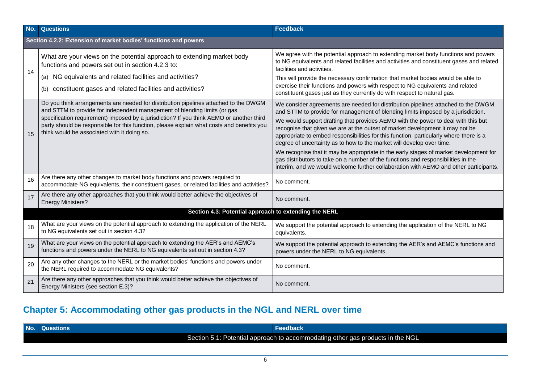| No. | <b>Questions</b>                                                                                                                                                                                                                                                                                                                                                                                          | <b>Feedback</b>                                                                                                                                                                                                                                                                                                                                                                                                                                                                                                                                                                                                                                                                                                                                                                       |  |  |
|-----|-----------------------------------------------------------------------------------------------------------------------------------------------------------------------------------------------------------------------------------------------------------------------------------------------------------------------------------------------------------------------------------------------------------|---------------------------------------------------------------------------------------------------------------------------------------------------------------------------------------------------------------------------------------------------------------------------------------------------------------------------------------------------------------------------------------------------------------------------------------------------------------------------------------------------------------------------------------------------------------------------------------------------------------------------------------------------------------------------------------------------------------------------------------------------------------------------------------|--|--|
|     | Section 4.2.2: Extension of market bodies' functions and powers                                                                                                                                                                                                                                                                                                                                           |                                                                                                                                                                                                                                                                                                                                                                                                                                                                                                                                                                                                                                                                                                                                                                                       |  |  |
| 14  | What are your views on the potential approach to extending market body<br>functions and powers set out in section 4.2.3 to:<br>NG equivalents and related facilities and activities?<br>(a)<br>constituent gases and related facilities and activities?<br>(b)                                                                                                                                            | We agree with the potential approach to extending market body functions and powers<br>to NG equivalents and related facilities and activities and constituent gases and related<br>facilities and activities.<br>This will provide the necessary confirmation that market bodies would be able to<br>exercise their functions and powers with respect to NG equivalents and related<br>constituent gases just as they currently do with respect to natural gas.                                                                                                                                                                                                                                                                                                                       |  |  |
| 15  | Do you think arrangements are needed for distribution pipelines attached to the DWGM<br>and STTM to provide for independent management of blending limits (or gas<br>specification requirement) imposed by a jurisdiction? If you think AEMO or another third<br>party should be responsible for this function, please explain what costs and benefits you<br>think would be associated with it doing so. | We consider agreements are needed for distribution pipelines attached to the DWGM<br>and STTM to provide for management of blending limits imposed by a jurisdiction.<br>We would support drafting that provides AEMO with the power to deal with this but<br>recognise that given we are at the outset of market development it may not be<br>appropriate to embed responsibilities for this function, particularly where there is a<br>degree of uncertainty as to how to the market will develop over time.<br>We recognise that it may be appropriate in the early stages of market development for<br>gas distributors to take on a number of the functions and responsibilities in the<br>interim, and we would welcome further collaboration with AEMO and other participants. |  |  |
| 16  | Are there any other changes to market body functions and powers required to<br>accommodate NG equivalents, their constituent gases, or related facilities and activities?                                                                                                                                                                                                                                 | No comment.                                                                                                                                                                                                                                                                                                                                                                                                                                                                                                                                                                                                                                                                                                                                                                           |  |  |
| 17  | Are there any other approaches that you think would better achieve the objectives of<br><b>Energy Ministers?</b>                                                                                                                                                                                                                                                                                          | No comment.                                                                                                                                                                                                                                                                                                                                                                                                                                                                                                                                                                                                                                                                                                                                                                           |  |  |
|     | Section 4.3: Potential approach to extending the NERL                                                                                                                                                                                                                                                                                                                                                     |                                                                                                                                                                                                                                                                                                                                                                                                                                                                                                                                                                                                                                                                                                                                                                                       |  |  |
| 18  | What are your views on the potential approach to extending the application of the NERL<br>to NG equivalents set out in section 4.3?                                                                                                                                                                                                                                                                       | We support the potential approach to extending the application of the NERL to NG<br>equivalents.                                                                                                                                                                                                                                                                                                                                                                                                                                                                                                                                                                                                                                                                                      |  |  |
| 19  | What are your views on the potential approach to extending the AER's and AEMC's<br>functions and powers under the NERL to NG equivalents set out in section 4.3?                                                                                                                                                                                                                                          | We support the potential approach to extending the AER's and AEMC's functions and<br>powers under the NERL to NG equivalents.                                                                                                                                                                                                                                                                                                                                                                                                                                                                                                                                                                                                                                                         |  |  |
| 20  | Are any other changes to the NERL or the market bodies' functions and powers under<br>the NERL required to accommodate NG equivalents?                                                                                                                                                                                                                                                                    | No comment.                                                                                                                                                                                                                                                                                                                                                                                                                                                                                                                                                                                                                                                                                                                                                                           |  |  |
| 21  | Are there any other approaches that you think would better achieve the objectives of<br>Energy Ministers (see section E.3)?                                                                                                                                                                                                                                                                               | No comment.                                                                                                                                                                                                                                                                                                                                                                                                                                                                                                                                                                                                                                                                                                                                                                           |  |  |

# **Chapter 5: Accommodating other gas products in the NGL and NERL over time**

| No. | ulestions.                                                                          |  |
|-----|-------------------------------------------------------------------------------------|--|
|     | Potential approach to accommodating other gas products in the NGL<br>Section 5.1: P |  |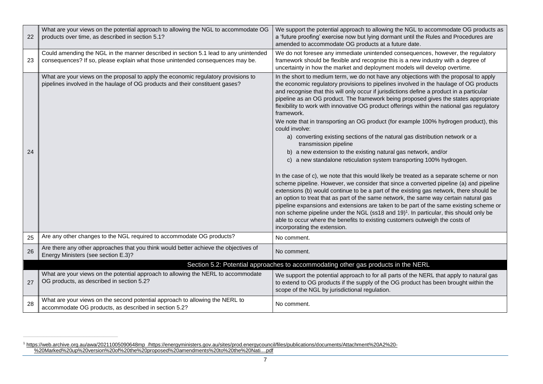| 22 | What are your views on the potential approach to allowing the NGL to accommodate OG<br>products over time, as described in section 5.1?                                | We support the potential approach to allowing the NGL to accommodate OG products as<br>a 'future proofing' exercise now but lying dormant until the Rules and Procedures are<br>amended to accommodate OG products at a future date.                                                                                                                                                                                                                                                                                                                                                                                                                                                                                                                                                                                                                                                                                                                                                                                                                                                                                                                                                                                                                                                                                                                                                                                                                                                                                                   |
|----|------------------------------------------------------------------------------------------------------------------------------------------------------------------------|----------------------------------------------------------------------------------------------------------------------------------------------------------------------------------------------------------------------------------------------------------------------------------------------------------------------------------------------------------------------------------------------------------------------------------------------------------------------------------------------------------------------------------------------------------------------------------------------------------------------------------------------------------------------------------------------------------------------------------------------------------------------------------------------------------------------------------------------------------------------------------------------------------------------------------------------------------------------------------------------------------------------------------------------------------------------------------------------------------------------------------------------------------------------------------------------------------------------------------------------------------------------------------------------------------------------------------------------------------------------------------------------------------------------------------------------------------------------------------------------------------------------------------------|
| 23 | Could amending the NGL in the manner described in section 5.1 lead to any unintended<br>consequences? If so, please explain what those unintended consequences may be. | We do not foresee any immediate unintended consequences, however, the regulatory<br>framework should be flexible and recognise this is a new industry with a degree of<br>uncertainty in how the market and deployment models will develop overtime.                                                                                                                                                                                                                                                                                                                                                                                                                                                                                                                                                                                                                                                                                                                                                                                                                                                                                                                                                                                                                                                                                                                                                                                                                                                                                   |
| 24 | What are your views on the proposal to apply the economic regulatory provisions to<br>pipelines involved in the haulage of OG products and their constituent gases?    | In the short to medium term, we do not have any objections with the proposal to apply<br>the economic regulatory provisions to pipelines involved in the haulage of OG products<br>and recognise that this will only occur if jurisdictions define a product in a particular<br>pipeline as an OG product. The framework being proposed gives the states appropriate<br>flexibility to work with innovative OG product offerings within the national gas regulatory<br>framework.<br>We note that in transporting an OG product (for example 100% hydrogen product), this<br>could involve:<br>a) converting existing sections of the natural gas distribution network or a<br>transmission pipeline<br>b) a new extension to the existing natural gas network, and/or<br>c) a new standalone reticulation system transporting 100% hydrogen.<br>In the case of c), we note that this would likely be treated as a separate scheme or non<br>scheme pipeline. However, we consider that since a converted pipeline (a) and pipeline<br>extensions (b) would continue to be a part of the existing gas network, there should be<br>an option to treat that as part of the same network, the same way certain natural gas<br>pipeline expansions and extensions are taken to be part of the same existing scheme or<br>non scheme pipeline under the NGL (ss18 and 19) <sup>1</sup> . In particular, this should only be<br>able to occur where the benefits to existing customers outweigh the costs of<br>incorporating the extension. |
| 25 | Are any other changes to the NGL required to accommodate OG products?                                                                                                  | No comment.                                                                                                                                                                                                                                                                                                                                                                                                                                                                                                                                                                                                                                                                                                                                                                                                                                                                                                                                                                                                                                                                                                                                                                                                                                                                                                                                                                                                                                                                                                                            |
| 26 | Are there any other approaches that you think would better achieve the objectives of<br>Energy Ministers (see section E.3)?                                            | No comment.                                                                                                                                                                                                                                                                                                                                                                                                                                                                                                                                                                                                                                                                                                                                                                                                                                                                                                                                                                                                                                                                                                                                                                                                                                                                                                                                                                                                                                                                                                                            |
|    |                                                                                                                                                                        | Section 5.2: Potential approaches to accommodating other gas products in the NERL                                                                                                                                                                                                                                                                                                                                                                                                                                                                                                                                                                                                                                                                                                                                                                                                                                                                                                                                                                                                                                                                                                                                                                                                                                                                                                                                                                                                                                                      |
| 27 | What are your views on the potential approach to allowing the NERL to accommodate<br>OG products, as described in section 5.2?                                         | We support the potential approach to for all parts of the NERL that apply to natural gas<br>to extend to OG products if the supply of the OG product has been brought within the<br>scope of the NGL by jurisdictional regulation.                                                                                                                                                                                                                                                                                                                                                                                                                                                                                                                                                                                                                                                                                                                                                                                                                                                                                                                                                                                                                                                                                                                                                                                                                                                                                                     |
| 28 | What are your views on the second potential approach to allowing the NERL to<br>accommodate OG products, as described in section 5.2?                                  | No comment.                                                                                                                                                                                                                                                                                                                                                                                                                                                                                                                                                                                                                                                                                                                                                                                                                                                                                                                                                                                                                                                                                                                                                                                                                                                                                                                                                                                                                                                                                                                            |

<sup>1</sup> [https://web.archive.org.au/awa/20211005090648mp\\_/https://energyministers.gov.au/sites/prod.energycouncil/files/publications/documents/Attachment%20A2%20-](https://web.archive.org.au/awa/20211005090648mp_/https:/energyministers.gov.au/sites/prod.energycouncil/files/publications/documents/Attachment%20A2%20-%20Marked%20up%20version%20of%20the%20proposed%20amendments%20to%20the%20Nati....pdf) [%20Marked%20up%20version%20of%20the%20proposed%20amendments%20to%20the%20Nati....pdf](https://web.archive.org.au/awa/20211005090648mp_/https:/energyministers.gov.au/sites/prod.energycouncil/files/publications/documents/Attachment%20A2%20-%20Marked%20up%20version%20of%20the%20proposed%20amendments%20to%20the%20Nati....pdf)